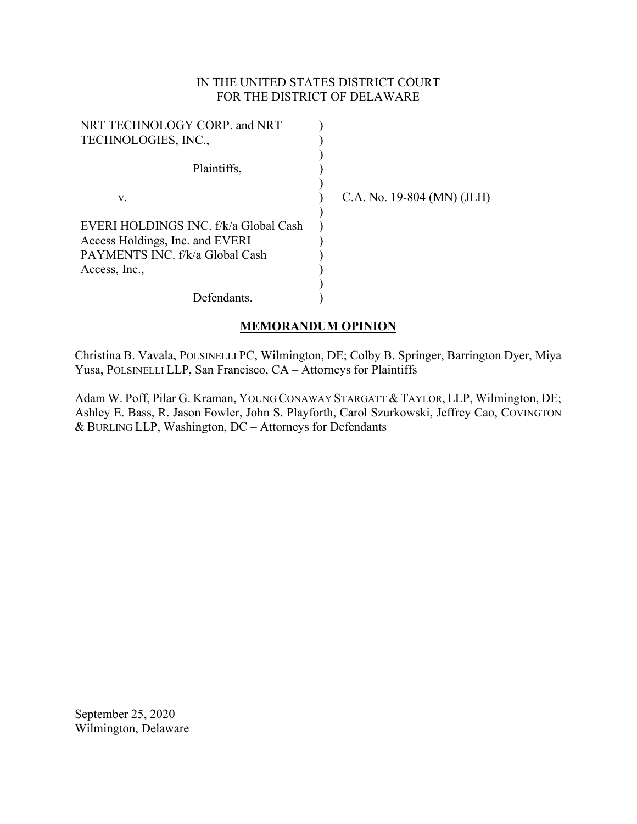# IN THE UNITED STATES DISTRICT COURT FOR THE DISTRICT OF DELAWARE

| NRT TECHNOLOGY CORP. and NRT          |                            |
|---------------------------------------|----------------------------|
| TECHNOLOGIES, INC.,                   |                            |
|                                       |                            |
| Plaintiffs,                           |                            |
|                                       |                            |
| V.                                    | C.A. No. 19-804 (MN) (JLH) |
|                                       |                            |
| EVERI HOLDINGS INC. f/k/a Global Cash |                            |
| Access Holdings, Inc. and EVERI       |                            |
| PAYMENTS INC. f/k/a Global Cash       |                            |
| Access, Inc.,                         |                            |
|                                       |                            |
| Defendants.                           |                            |

## **MEMORANDUM OPINION**

Christina B. Vavala, POLSINELLI PC, Wilmington, DE; Colby B. Springer, Barrington Dyer, Miya Yusa, POLSINELLI LLP, San Francisco, CA – Attorneys for Plaintiffs

Adam W. Poff, Pilar G. Kraman, YOUNG CONAWAY STARGATT & TAYLOR, LLP, Wilmington, DE; Ashley E. Bass, R. Jason Fowler, John S. Playforth, Carol Szurkowski, Jeffrey Cao, COVINGTON  $&$  BURLING LLP, Washington, DC – Attorneys for Defendants

September 25, 2020 Wilmington, Delaware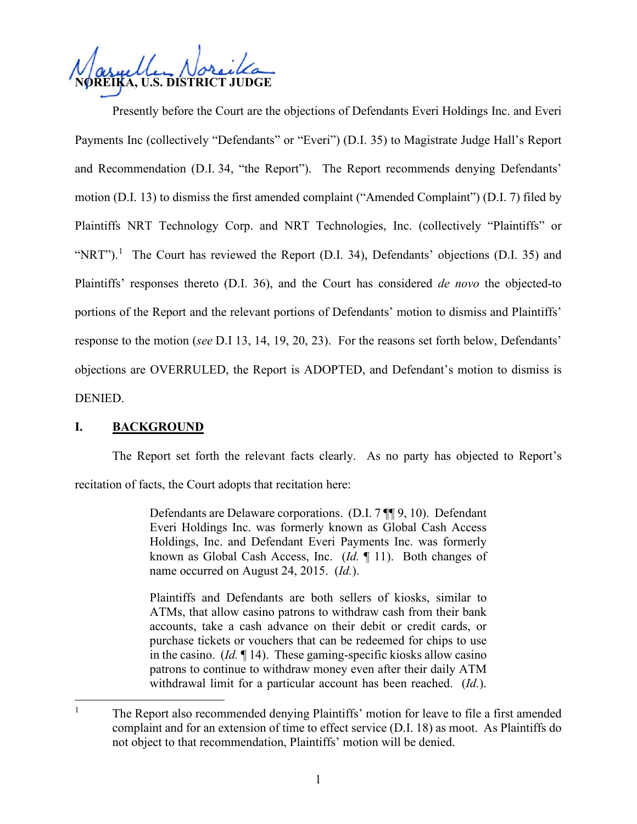**U.S. DISTRICT JUDGE** 

Presently before the Court are the objections of Defendants Everi Holdings Inc. and Everi Payments Inc (collectively "Defendants" or "Everi") (D.I. 35) to Magistrate Judge Hall's Report and Recommendation (D.I. 34, "the Report"). The Report recommends denying Defendants' motion (D.I. 13) to dismiss the first amended complaint ("Amended Complaint") (D.I. 7) filed by Plaintiffs NRT Technology Corp. and NRT Technologies, Inc. (collectively "Plaintiffs" or "NRT").<sup>1</sup> The Court has reviewed the Report (D.I. 34), Defendants' objections (D.I. 35) and Plaintiffs' responses thereto (D.I. 36), and the Court has considered *de novo* the objected-to portions of the Report and the relevant portions of Defendants' motion to dismiss and Plaintiffs' response to the motion (*see* D.I 13, 14, 19, 20, 23). For the reasons set forth below, Defendants' objections are OVERRULED, the Report is ADOPTED, and Defendant's motion to dismiss is DENIED.

# **I. BACKGROUND**

The Report set forth the relevant facts clearly. As no party has objected to Report's recitation of facts, the Court adopts that recitation here:

> Defendants are Delaware corporations. (D.I. 7 ¶¶ 9, 10). Defendant Everi Holdings Inc. was formerly known as Global Cash Access Holdings, Inc. and Defendant Everi Payments Inc. was formerly known as Global Cash Access, Inc. (*Id.* ¶ 11). Both changes of name occurred on August 24, 2015. (*Id.*).

> Plaintiffs and Defendants are both sellers of kiosks, similar to ATMs, that allow casino patrons to withdraw cash from their bank accounts, take a cash advance on their debit or credit cards, or purchase tickets or vouchers that can be redeemed for chips to use in the casino. (*Id.* ¶ 14). These gaming-specific kiosks allow casino patrons to continue to withdraw money even after their daily ATM withdrawal limit for a particular account has been reached. (*Id.*).

<sup>&</sup>lt;sup>1</sup> The Report also recommended denying Plaintiffs' motion for leave to file a first amended complaint and for an extension of time to effect service (D.I. 18) as moot. As Plaintiffs do not object to that recommendation, Plaintiffs' motion will be denied.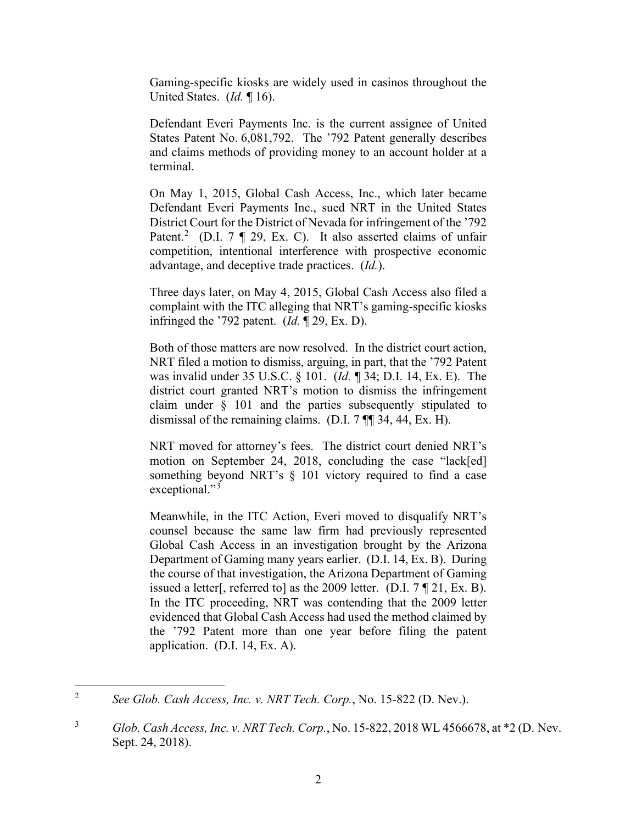Gaming-specific kiosks are widely used in casinos throughout the United States. (*Id.* ¶ 16).

Defendant Everi Payments Inc. is the current assignee of United States Patent No. 6,081,792. The '792 Patent generally describes and claims methods of providing money to an account holder at a terminal.

On May 1, 2015, Global Cash Access, Inc., which later became Defendant Everi Payments Inc., sued NRT in the United States District Court for the District of Nevada for infringement of the '792 Patent.<sup>2</sup> (D.I. 7  $\P$  29, Ex. C). It also asserted claims of unfair competition, intentional interference with prospective economic advantage, and deceptive trade practices. (*Id.*).

Three days later, on May 4, 2015, Global Cash Access also filed a complaint with the ITC alleging that NRT's gaming-specific kiosks infringed the '792 patent. (*Id.* ¶ 29, Ex. D).

Both of those matters are now resolved. In the district court action, NRT filed a motion to dismiss, arguing, in part, that the '792 Patent was invalid under 35 U.S.C. § 101. (*Id.* ¶ 34; D.I. 14, Ex. E). The district court granted NRT's motion to dismiss the infringement claim under § 101 and the parties subsequently stipulated to dismissal of the remaining claims. (D.I. 7 ¶¶ 34, 44, Ex. H).

NRT moved for attorney's fees. The district court denied NRT's motion on September 24, 2018, concluding the case "lack[ed] something beyond NRT's § 101 victory required to find a case exceptional."<sup>3</sup>

Meanwhile, in the ITC Action, Everi moved to disqualify NRT's counsel because the same law firm had previously represented Global Cash Access in an investigation brought by the Arizona Department of Gaming many years earlier. (D.I. 14, Ex. B). During the course of that investigation, the Arizona Department of Gaming issued a letter[, referred to] as the 2009 letter. (D.I. 7 ¶ 21, Ex. B). In the ITC proceeding, NRT was contending that the 2009 letter evidenced that Global Cash Access had used the method claimed by the '792 Patent more than one year before filing the patent application. (D.I. 14, Ex. A).

<sup>2</sup> *See Glob. Cash Access, Inc. v. NRT Tech. Corp.*, No. 15-822 (D. Nev.).

<sup>3</sup> *Glob. Cash Access, Inc. v. NRT Tech. Corp.*, No. 15-822, 2018 WL 4566678, at \*2 (D. Nev. Sept. 24, 2018).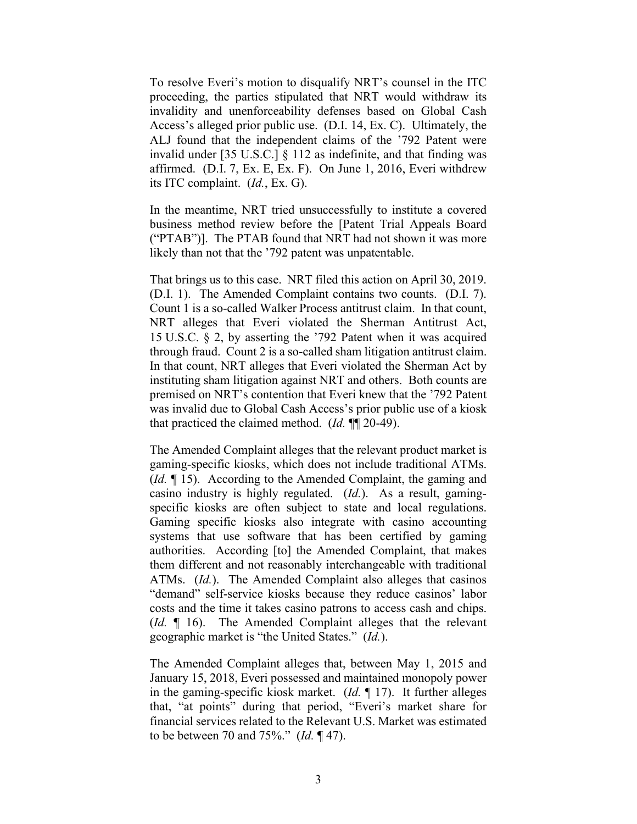To resolve Everi's motion to disqualify NRT's counsel in the ITC proceeding, the parties stipulated that NRT would withdraw its invalidity and unenforceability defenses based on Global Cash Access's alleged prior public use. (D.I. 14, Ex. C). Ultimately, the ALJ found that the independent claims of the '792 Patent were invalid under [35 U.S.C.] § 112 as indefinite, and that finding was affirmed. (D.I. 7, Ex. E, Ex. F). On June 1, 2016, Everi withdrew its ITC complaint. (*Id.*, Ex. G).

In the meantime, NRT tried unsuccessfully to institute a covered business method review before the [Patent Trial Appeals Board ("PTAB")]. The PTAB found that NRT had not shown it was more likely than not that the '792 patent was unpatentable.

That brings us to this case. NRT filed this action on April 30, 2019. (D.I. 1). The Amended Complaint contains two counts. (D.I. 7). Count 1 is a so-called Walker Process antitrust claim. In that count, NRT alleges that Everi violated the Sherman Antitrust Act, 15 U.S.C. § 2, by asserting the '792 Patent when it was acquired through fraud. Count 2 is a so-called sham litigation antitrust claim. In that count, NRT alleges that Everi violated the Sherman Act by instituting sham litigation against NRT and others. Both counts are premised on NRT's contention that Everi knew that the '792 Patent was invalid due to Global Cash Access's prior public use of a kiosk that practiced the claimed method. (*Id.* ¶¶ 20-49).

The Amended Complaint alleges that the relevant product market is gaming-specific kiosks, which does not include traditional ATMs. (*Id.* ¶ 15). According to the Amended Complaint, the gaming and casino industry is highly regulated. (*Id.*). As a result, gamingspecific kiosks are often subject to state and local regulations. Gaming specific kiosks also integrate with casino accounting systems that use software that has been certified by gaming authorities. According [to] the Amended Complaint, that makes them different and not reasonably interchangeable with traditional ATMs. (*Id.*). The Amended Complaint also alleges that casinos "demand" self-service kiosks because they reduce casinos' labor costs and the time it takes casino patrons to access cash and chips. (*Id.* ¶ 16). The Amended Complaint alleges that the relevant geographic market is "the United States." (*Id.*).

The Amended Complaint alleges that, between May 1, 2015 and January 15, 2018, Everi possessed and maintained monopoly power in the gaming-specific kiosk market. (*Id.* ¶ 17). It further alleges that, "at points" during that period, "Everi's market share for financial services related to the Relevant U.S. Market was estimated to be between 70 and 75%." (*Id.* ¶ 47).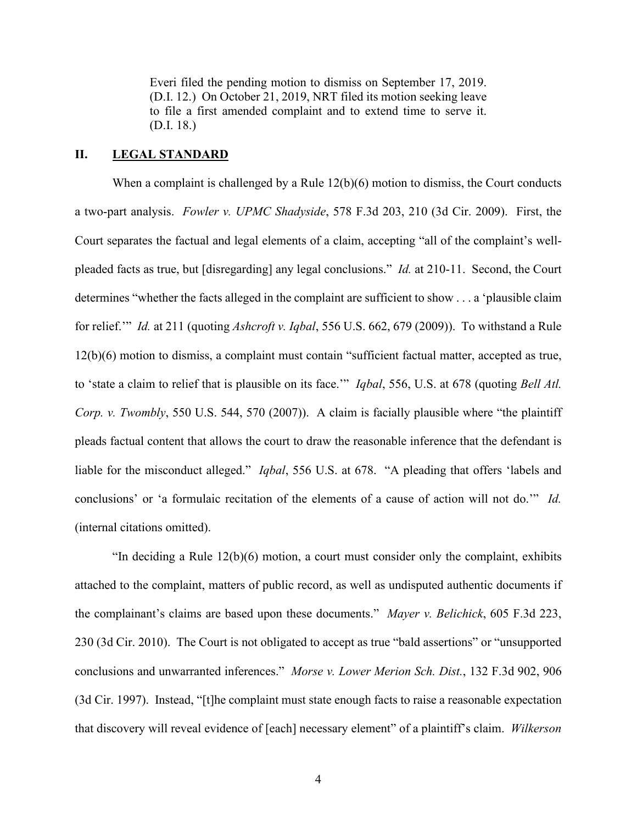Everi filed the pending motion to dismiss on September 17, 2019. (D.I. 12.) On October 21, 2019, NRT filed its motion seeking leave to file a first amended complaint and to extend time to serve it. (D.I. 18.)

# **II. LEGAL STANDARD**

When a complaint is challenged by a Rule 12(b)(6) motion to dismiss, the Court conducts a two-part analysis. *Fowler v. UPMC Shadyside*, 578 F.3d 203, 210 (3d Cir. 2009). First, the Court separates the factual and legal elements of a claim, accepting "all of the complaint's wellpleaded facts as true, but [disregarding] any legal conclusions." *Id.* at 210-11. Second, the Court determines "whether the facts alleged in the complaint are sufficient to show . . . a 'plausible claim for relief.'" *Id.* at 211 (quoting *Ashcroft v. Iqbal*, 556 U.S. 662, 679 (2009)). To withstand a Rule 12(b)(6) motion to dismiss, a complaint must contain "sufficient factual matter, accepted as true, to 'state a claim to relief that is plausible on its face.'" *Iqbal*, 556, U.S. at 678 (quoting *Bell Atl. Corp. v. Twombly*, 550 U.S. 544, 570 (2007)). A claim is facially plausible where "the plaintiff pleads factual content that allows the court to draw the reasonable inference that the defendant is liable for the misconduct alleged." *Iqbal*, 556 U.S. at 678. "A pleading that offers 'labels and conclusions' or 'a formulaic recitation of the elements of a cause of action will not do.'" *Id.* (internal citations omitted).

"In deciding a Rule 12(b)(6) motion, a court must consider only the complaint, exhibits attached to the complaint, matters of public record, as well as undisputed authentic documents if the complainant's claims are based upon these documents." *Mayer v. Belichick*, 605 F.3d 223, 230 (3d Cir. 2010). The Court is not obligated to accept as true "bald assertions" or "unsupported conclusions and unwarranted inferences." *Morse v. Lower Merion Sch. Dist.*, 132 F.3d 902, 906 (3d Cir. 1997). Instead, "[t]he complaint must state enough facts to raise a reasonable expectation that discovery will reveal evidence of [each] necessary element" of a plaintiff's claim. *Wilkerson*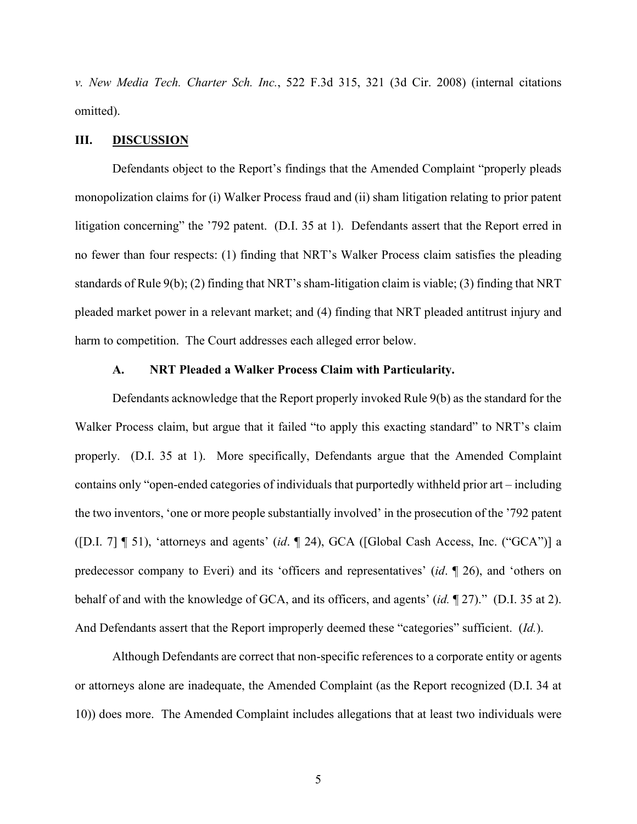*v. New Media Tech. Charter Sch. Inc.*, 522 F.3d 315, 321 (3d Cir. 2008) (internal citations omitted).

#### **III. DISCUSSION**

Defendants object to the Report's findings that the Amended Complaint "properly pleads monopolization claims for (i) Walker Process fraud and (ii) sham litigation relating to prior patent litigation concerning" the '792 patent. (D.I. 35 at 1). Defendants assert that the Report erred in no fewer than four respects: (1) finding that NRT's Walker Process claim satisfies the pleading standards of Rule 9(b); (2) finding that NRT's sham-litigation claim is viable; (3) finding that NRT pleaded market power in a relevant market; and (4) finding that NRT pleaded antitrust injury and harm to competition. The Court addresses each alleged error below.

#### **A. NRT Pleaded a Walker Process Claim with Particularity.**

Defendants acknowledge that the Report properly invoked Rule 9(b) as the standard for the Walker Process claim, but argue that it failed "to apply this exacting standard" to NRT's claim properly. (D.I. 35 at 1). More specifically, Defendants argue that the Amended Complaint contains only "open-ended categories of individuals that purportedly withheld prior art – including the two inventors, 'one or more people substantially involved' in the prosecution of the '792 patent ([D.I. 7] ¶ 51), 'attorneys and agents' (*id*. ¶ 24), GCA ([Global Cash Access, Inc. ("GCA")] a predecessor company to Everi) and its 'officers and representatives' (*id*. ¶ 26), and 'others on behalf of and with the knowledge of GCA, and its officers, and agents' (*id.* ¶ 27)." (D.I. 35 at 2). And Defendants assert that the Report improperly deemed these "categories" sufficient. (*Id.*).

Although Defendants are correct that non-specific references to a corporate entity or agents or attorneys alone are inadequate, the Amended Complaint (as the Report recognized (D.I. 34 at 10)) does more. The Amended Complaint includes allegations that at least two individuals were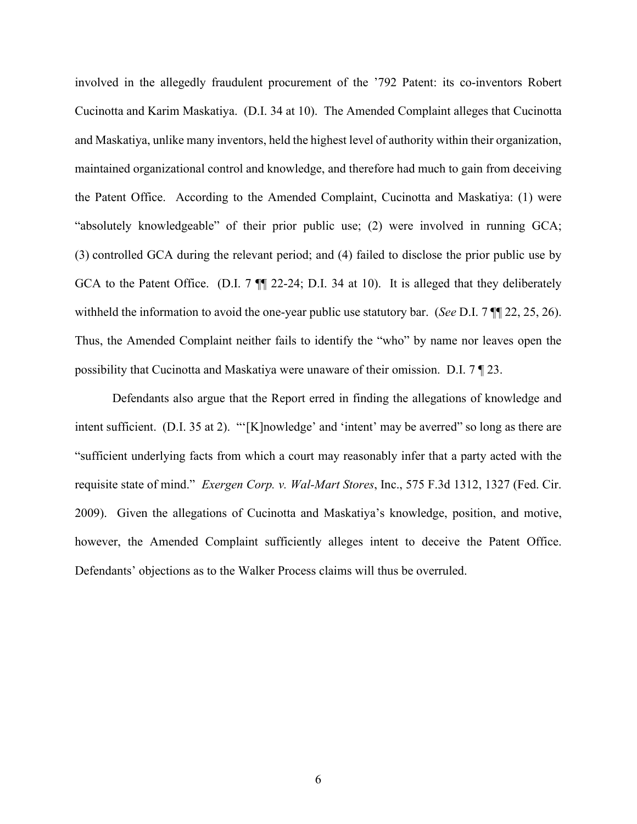involved in the allegedly fraudulent procurement of the '792 Patent: its co-inventors Robert Cucinotta and Karim Maskatiya. (D.I. 34 at 10). The Amended Complaint alleges that Cucinotta and Maskatiya, unlike many inventors, held the highest level of authority within their organization, maintained organizational control and knowledge, and therefore had much to gain from deceiving the Patent Office. According to the Amended Complaint, Cucinotta and Maskatiya: (1) were "absolutely knowledgeable" of their prior public use; (2) were involved in running GCA; (3) controlled GCA during the relevant period; and (4) failed to disclose the prior public use by GCA to the Patent Office. (D.I. 7  $\P$  22-24; D.I. 34 at 10). It is alleged that they deliberately withheld the information to avoid the one-year public use statutory bar. (*See* D.I. 7 ¶¶ 22, 25, 26). Thus, the Amended Complaint neither fails to identify the "who" by name nor leaves open the possibility that Cucinotta and Maskatiya were unaware of their omission. D.I. 7 ¶ 23.

Defendants also argue that the Report erred in finding the allegations of knowledge and intent sufficient. (D.I. 35 at 2). "'[K]nowledge' and 'intent' may be averred'' so long as there are "sufficient underlying facts from which a court may reasonably infer that a party acted with the requisite state of mind." *Exergen Corp. v. Wal-Mart Stores*, Inc., 575 F.3d 1312, 1327 (Fed. Cir. 2009). Given the allegations of Cucinotta and Maskatiya's knowledge, position, and motive, however, the Amended Complaint sufficiently alleges intent to deceive the Patent Office. Defendants' objections as to the Walker Process claims will thus be overruled.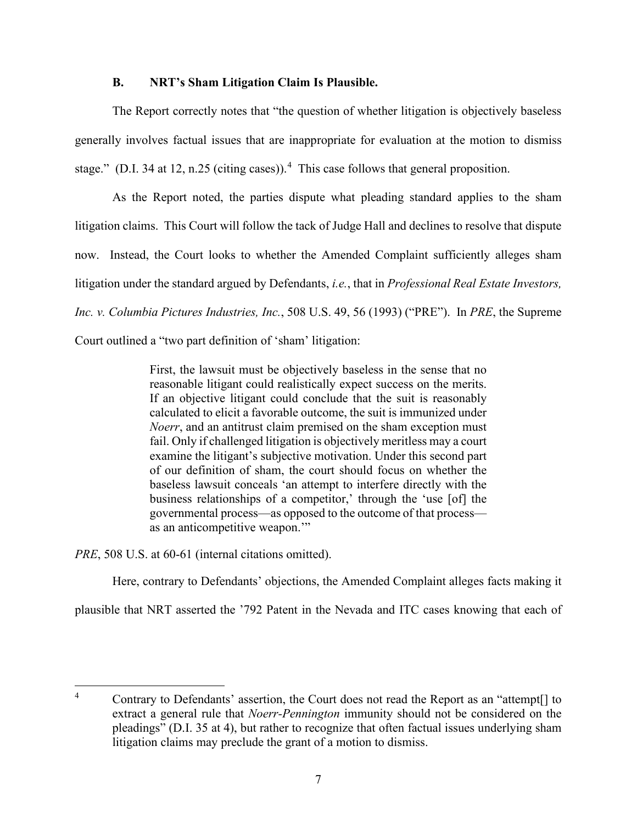### **B. NRT's Sham Litigation Claim Is Plausible.**

The Report correctly notes that "the question of whether litigation is objectively baseless generally involves factual issues that are inappropriate for evaluation at the motion to dismiss stage." (D.I. 34 at 12, n.25 (citing cases)).<sup>4</sup> This case follows that general proposition.

As the Report noted, the parties dispute what pleading standard applies to the sham litigation claims. This Court will follow the tack of Judge Hall and declines to resolve that dispute now. Instead, the Court looks to whether the Amended Complaint sufficiently alleges sham litigation under the standard argued by Defendants, *i.e.*, that in *Professional Real Estate Investors, Inc. v. Columbia Pictures Industries, Inc.*, 508 U.S. 49, 56 (1993) ("PRE"). In *PRE*, the Supreme Court outlined a "two part definition of 'sham' litigation:

> First, the lawsuit must be objectively baseless in the sense that no reasonable litigant could realistically expect success on the merits. If an objective litigant could conclude that the suit is reasonably calculated to elicit a favorable outcome, the suit is immunized under *Noerr*, and an antitrust claim premised on the sham exception must fail. Only if challenged litigation is objectively meritless may a court examine the litigant's subjective motivation. Under this second part of our definition of sham, the court should focus on whether the baseless lawsuit conceals 'an attempt to interfere directly with the business relationships of a competitor,' through the 'use [of] the governmental process—as opposed to the outcome of that process as an anticompetitive weapon.'"

*PRE*, 508 U.S. at 60-61 (internal citations omitted).

Here, contrary to Defendants' objections, the Amended Complaint alleges facts making it

plausible that NRT asserted the '792 Patent in the Nevada and ITC cases knowing that each of

<sup>&</sup>lt;sup>4</sup> Contrary to Defendants' assertion, the Court does not read the Report as an "attempt<sup>[]</sup> to extract a general rule that *Noerr-Pennington* immunity should not be considered on the pleadings" (D.I. 35 at 4), but rather to recognize that often factual issues underlying sham litigation claims may preclude the grant of a motion to dismiss.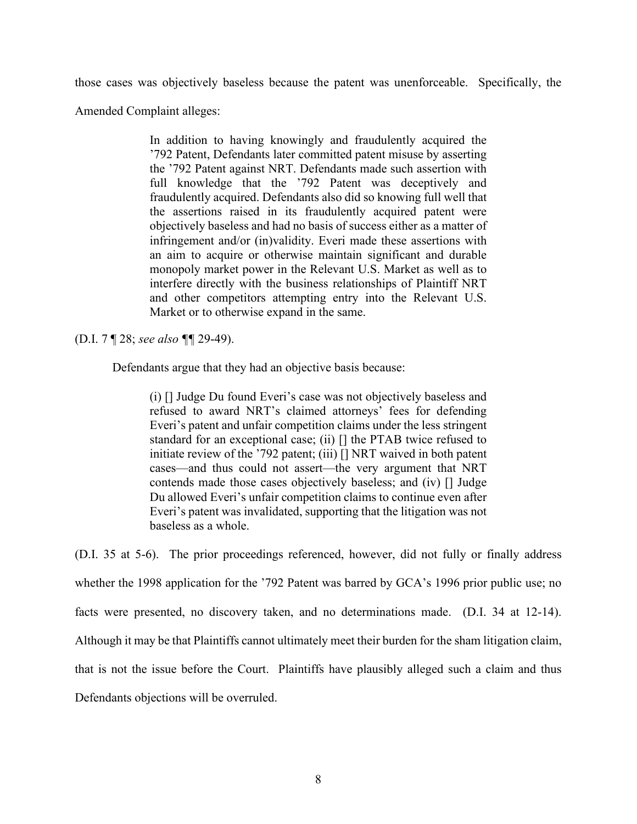those cases was objectively baseless because the patent was unenforceable. Specifically, the

Amended Complaint alleges:

In addition to having knowingly and fraudulently acquired the '792 Patent, Defendants later committed patent misuse by asserting the '792 Patent against NRT. Defendants made such assertion with full knowledge that the '792 Patent was deceptively and fraudulently acquired. Defendants also did so knowing full well that the assertions raised in its fraudulently acquired patent were objectively baseless and had no basis of success either as a matter of infringement and/or (in)validity. Everi made these assertions with an aim to acquire or otherwise maintain significant and durable monopoly market power in the Relevant U.S. Market as well as to interfere directly with the business relationships of Plaintiff NRT and other competitors attempting entry into the Relevant U.S. Market or to otherwise expand in the same.

(D.I. 7 ¶ 28; *see also ¶¶* 29-49).

Defendants argue that they had an objective basis because:

(i) [] Judge Du found Everi's case was not objectively baseless and refused to award NRT's claimed attorneys' fees for defending Everi's patent and unfair competition claims under the less stringent standard for an exceptional case; (ii) [] the PTAB twice refused to initiate review of the '792 patent; (iii) [] NRT waived in both patent cases—and thus could not assert—the very argument that NRT contends made those cases objectively baseless; and (iv) [] Judge Du allowed Everi's unfair competition claims to continue even after Everi's patent was invalidated, supporting that the litigation was not baseless as a whole.

(D.I. 35 at 5-6). The prior proceedings referenced, however, did not fully or finally address whether the 1998 application for the '792 Patent was barred by GCA's 1996 prior public use; no facts were presented, no discovery taken, and no determinations made. (D.I. 34 at 12-14). Although it may be that Plaintiffs cannot ultimately meet their burden for the sham litigation claim, that is not the issue before the Court. Plaintiffs have plausibly alleged such a claim and thus Defendants objections will be overruled.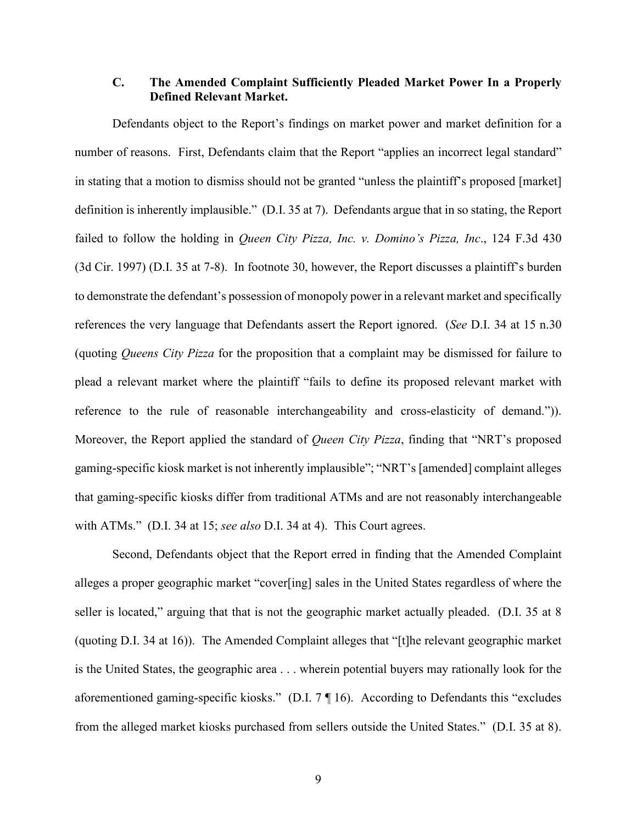## **C. The Amended Complaint Sufficiently Pleaded Market Power In a Properly Defined Relevant Market.**

Defendants object to the Report's findings on market power and market definition for a number of reasons. First, Defendants claim that the Report "applies an incorrect legal standard" in stating that a motion to dismiss should not be granted "unless the plaintiff's proposed [market] definition is inherently implausible." (D.I. 35 at 7). Defendants argue that in so stating, the Report failed to follow the holding in *Queen City Pizza, Inc. v. Domino's Pizza, Inc*., 124 F.3d 430 (3d Cir. 1997) (D.I. 35 at 7-8). In footnote 30, however, the Report discusses a plaintiff's burden to demonstrate the defendant's possession of monopoly power in a relevant market and specifically references the very language that Defendants assert the Report ignored. (*See* D.I. 34 at 15 n.30 (quoting *Queens City Pizza* for the proposition that a complaint may be dismissed for failure to plead a relevant market where the plaintiff "fails to define its proposed relevant market with reference to the rule of reasonable interchangeability and cross-elasticity of demand.")). Moreover, the Report applied the standard of *Queen City Pizza*, finding that "NRT's proposed gaming-specific kiosk market is not inherently implausible"; "NRT's [amended] complaint alleges that gaming-specific kiosks differ from traditional ATMs and are not reasonably interchangeable with ATMs." (D.I. 34 at 15; *see also* D.I. 34 at 4). This Court agrees.

Second, Defendants object that the Report erred in finding that the Amended Complaint alleges a proper geographic market "cover[ing] sales in the United States regardless of where the seller is located," arguing that that is not the geographic market actually pleaded. (D.I. 35 at 8) (quoting D.I. 34 at 16)). The Amended Complaint alleges that "[t]he relevant geographic market is the United States, the geographic area . . . wherein potential buyers may rationally look for the aforementioned gaming-specific kiosks." (D.I. 7 ¶ 16). According to Defendants this "excludes from the alleged market kiosks purchased from sellers outside the United States." (D.I. 35 at 8).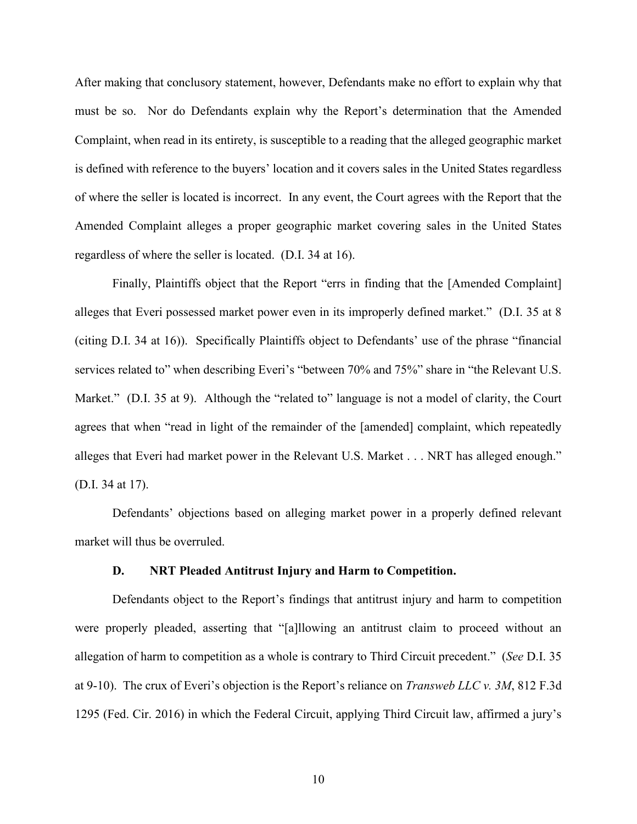After making that conclusory statement, however, Defendants make no effort to explain why that must be so. Nor do Defendants explain why the Report's determination that the Amended Complaint, when read in its entirety, is susceptible to a reading that the alleged geographic market is defined with reference to the buyers' location and it covers sales in the United States regardless of where the seller is located is incorrect. In any event, the Court agrees with the Report that the Amended Complaint alleges a proper geographic market covering sales in the United States regardless of where the seller is located. (D.I. 34 at 16).

Finally, Plaintiffs object that the Report "errs in finding that the [Amended Complaint] alleges that Everi possessed market power even in its improperly defined market." (D.I. 35 at 8 (citing D.I. 34 at 16)). Specifically Plaintiffs object to Defendants' use of the phrase "financial services related to" when describing Everi's "between 70% and 75%" share in "the Relevant U.S. Market." (D.I. 35 at 9). Although the "related to" language is not a model of clarity, the Court agrees that when "read in light of the remainder of the [amended] complaint, which repeatedly alleges that Everi had market power in the Relevant U.S. Market . . . NRT has alleged enough." (D.I. 34 at 17).

Defendants' objections based on alleging market power in a properly defined relevant market will thus be overruled.

#### **D. NRT Pleaded Antitrust Injury and Harm to Competition.**

Defendants object to the Report's findings that antitrust injury and harm to competition were properly pleaded, asserting that "[a]llowing an antitrust claim to proceed without an allegation of harm to competition as a whole is contrary to Third Circuit precedent." (*See* D.I. 35 at 9-10). The crux of Everi's objection is the Report's reliance on *Transweb LLC v. 3M*, 812 F.3d 1295 (Fed. Cir. 2016) in which the Federal Circuit, applying Third Circuit law, affirmed a jury's

10